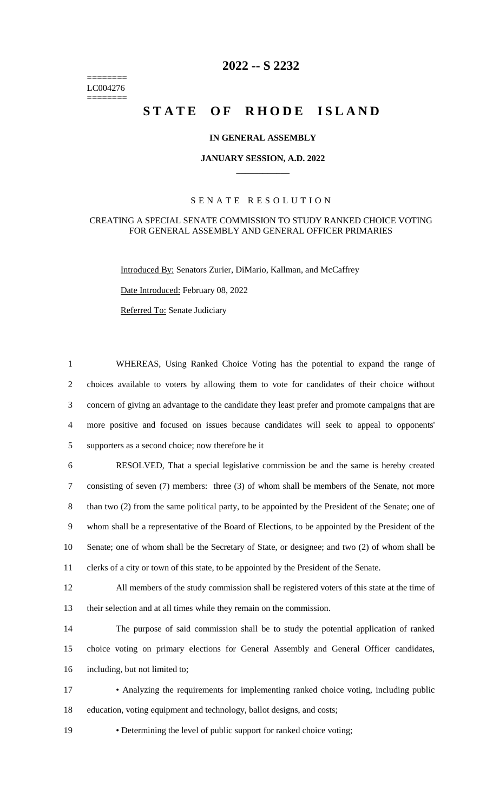======== LC004276 ========

# **2022 -- S 2232**

# STATE OF RHODE ISLAND

## **IN GENERAL ASSEMBLY**

### **JANUARY SESSION, A.D. 2022 \_\_\_\_\_\_\_\_\_\_\_\_**

## S E N A T E R E S O L U T I O N

### CREATING A SPECIAL SENATE COMMISSION TO STUDY RANKED CHOICE VOTING FOR GENERAL ASSEMBLY AND GENERAL OFFICER PRIMARIES

Introduced By: Senators Zurier, DiMario, Kallman, and McCaffrey

Date Introduced: February 08, 2022

Referred To: Senate Judiciary

 WHEREAS, Using Ranked Choice Voting has the potential to expand the range of choices available to voters by allowing them to vote for candidates of their choice without concern of giving an advantage to the candidate they least prefer and promote campaigns that are more positive and focused on issues because candidates will seek to appeal to opponents' supporters as a second choice; now therefore be it RESOLVED, That a special legislative commission be and the same is hereby created consisting of seven (7) members: three (3) of whom shall be members of the Senate, not more 8 than two (2) from the same political party, to be appointed by the President of the Senate; one of whom shall be a representative of the Board of Elections, to be appointed by the President of the Senate; one of whom shall be the Secretary of State, or designee; and two (2) of whom shall be clerks of a city or town of this state, to be appointed by the President of the Senate. All members of the study commission shall be registered voters of this state at the time of their selection and at all times while they remain on the commission. The purpose of said commission shall be to study the potential application of ranked choice voting on primary elections for General Assembly and General Officer candidates,

16 including, but not limited to;

17 • Analyzing the requirements for implementing ranked choice voting, including public 18 education, voting equipment and technology, ballot designs, and costs;

19 • Determining the level of public support for ranked choice voting;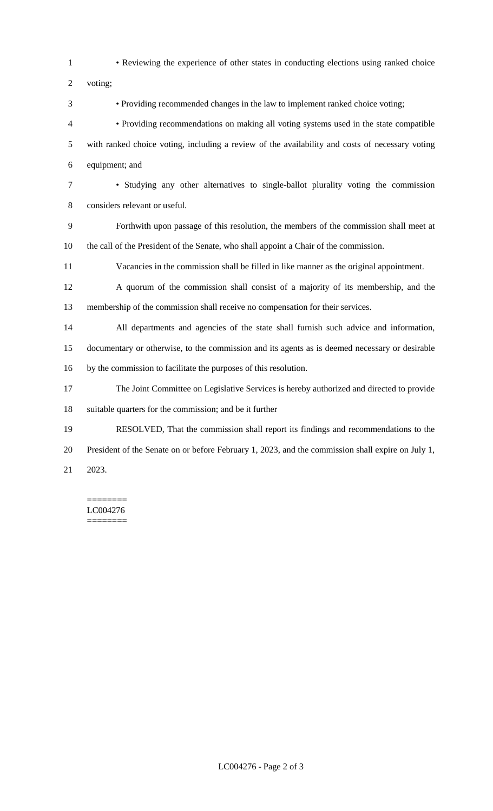• Reviewing the experience of other states in conducting elections using ranked choice voting; • Providing recommended changes in the law to implement ranked choice voting; • Providing recommendations on making all voting systems used in the state compatible with ranked choice voting, including a review of the availability and costs of necessary voting equipment; and • Studying any other alternatives to single-ballot plurality voting the commission considers relevant or useful. Forthwith upon passage of this resolution, the members of the commission shall meet at the call of the President of the Senate, who shall appoint a Chair of the commission. Vacancies in the commission shall be filled in like manner as the original appointment. A quorum of the commission shall consist of a majority of its membership, and the membership of the commission shall receive no compensation for their services. All departments and agencies of the state shall furnish such advice and information, documentary or otherwise, to the commission and its agents as is deemed necessary or desirable by the commission to facilitate the purposes of this resolution. The Joint Committee on Legislative Services is hereby authorized and directed to provide suitable quarters for the commission; and be it further RESOLVED, That the commission shall report its findings and recommendations to the President of the Senate on or before February 1, 2023, and the commission shall expire on July 1, 2023.

#### ======== LC004276 ========